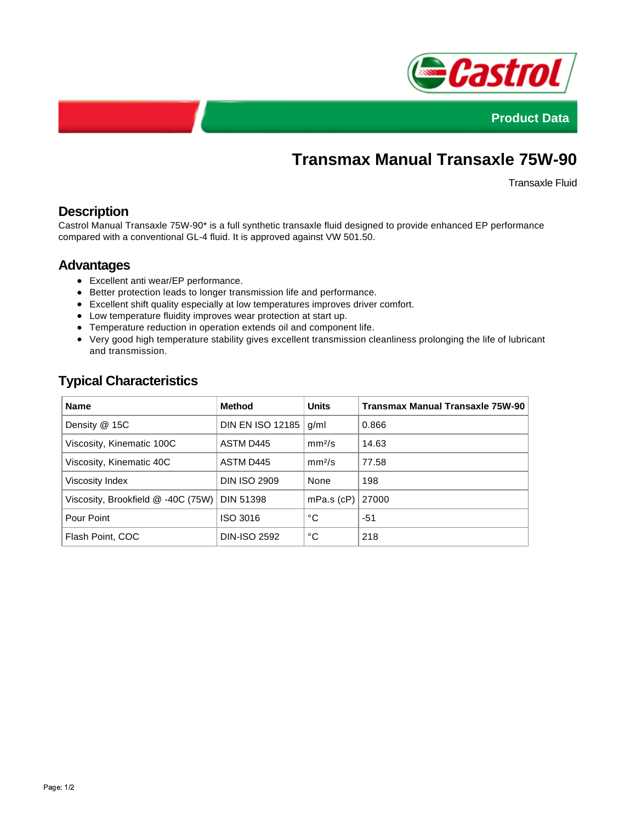



# **Transmax Manual Transaxle 75W-90**

Transaxle Fluid

## **Description**

Castrol Manual Transaxle 75W-90\* is a full synthetic transaxle fluid designed to provide enhanced EP performance compared with a conventional GL-4 fluid. It is approved against VW 501.50.

#### **Advantages**

- Excellent anti wear/EP performance.
- Better protection leads to longer transmission life and performance.
- Excellent shift quality especially at low temperatures improves driver comfort.
- Low temperature fluidity improves wear protection at start up.
- Temperature reduction in operation extends oil and component life.
- Very good high temperature stability gives excellent transmission cleanliness prolonging the life of lubricant and transmission.

| <b>Name</b>                        | <b>Method</b>           | <b>Units</b>       | Transmax Manual Transaxle 75W-90 |
|------------------------------------|-------------------------|--------------------|----------------------------------|
| Density @ 15C                      | <b>DIN EN ISO 12185</b> | g/ml               | 0.866                            |
| Viscosity, Kinematic 100C          | ASTM D445               | mm <sup>2</sup> /s | 14.63                            |
| Viscosity, Kinematic 40C           | ASTM D445               | mm <sup>2</sup> /s | 77.58                            |
| Viscosity Index                    | <b>DIN ISO 2909</b>     | None               | 198                              |
| Viscosity, Brookfield @ -40C (75W) | <b>DIN 51398</b>        | $mPa.s$ ( $cP$ )   | 27000                            |
| Pour Point                         | ISO 3016                | °C                 | -51                              |
| Flash Point, COC                   | <b>DIN-ISO 2592</b>     | °С                 | 218                              |

# **Typical Characteristics**